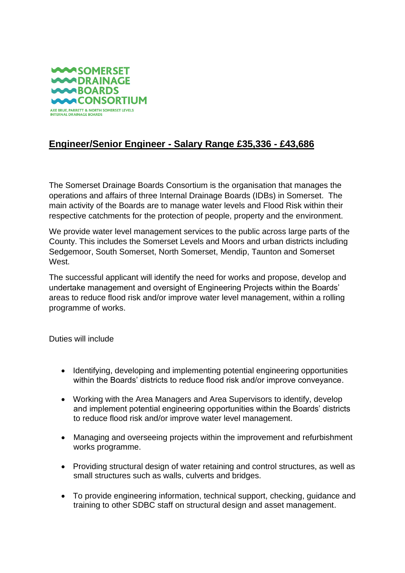

## **Engineer/Senior Engineer - Salary Range £35,336 - £43,686**

The Somerset Drainage Boards Consortium is the organisation that manages the operations and affairs of three Internal Drainage Boards (IDBs) in Somerset. The main activity of the Boards are to manage water levels and Flood Risk within their respective catchments for the protection of people, property and the environment.

We provide water level management services to the public across large parts of the County. This includes the Somerset Levels and Moors and urban districts including Sedgemoor, South Somerset, North Somerset, Mendip, Taunton and Somerset West.

The successful applicant will identify the need for works and propose, develop and undertake management and oversight of Engineering Projects within the Boards' areas to reduce flood risk and/or improve water level management, within a rolling programme of works.

Duties will include

- Identifying, developing and implementing potential engineering opportunities within the Boards' districts to reduce flood risk and/or improve conveyance.
- Working with the Area Managers and Area Supervisors to identify, develop and implement potential engineering opportunities within the Boards' districts to reduce flood risk and/or improve water level management.
- Managing and overseeing projects within the improvement and refurbishment works programme.
- Providing structural design of water retaining and control structures, as well as small structures such as walls, culverts and bridges.
- To provide engineering information, technical support, checking, guidance and training to other SDBC staff on structural design and asset management.